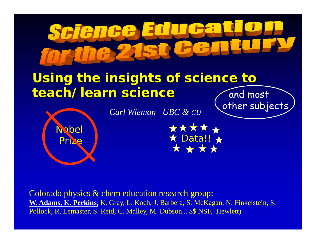

### **Using the insights of science to teach/learn science**  and most

Nobel

Prize

*Carl Wieman UBC & CU*



other subjects

Colorado physics & chem education research group: **W. Adams, K. Perkins,** K. Gray, L. Koch, J. Barbera, S. McKagan, N. Finkelstein, S. Pollock, R. Lemaster, S. Reid, C. Malley, M. Dubson... \$\$ NSF, Hewlett)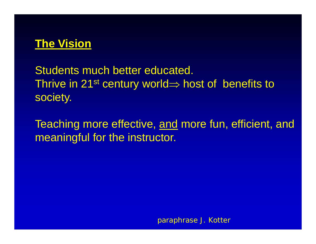

Students much better educated. Thrive in 21st century world<sup>⇒</sup> host of benefits to society.

Teaching more effective, and more fun, efficient, and meaningful for the instructor.

paraphrase J. Kotter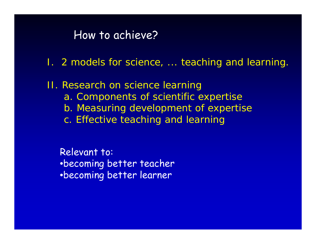# How to achieve?

- I. 2 models for science, ... teaching and learning.
- II. Research on science learning a. Components of scientific expertise b. Measuring development of expertise c. Effective teaching and learning

Relevant to: •becoming better teacher •becoming better learner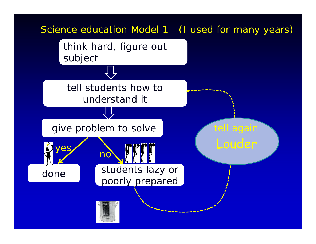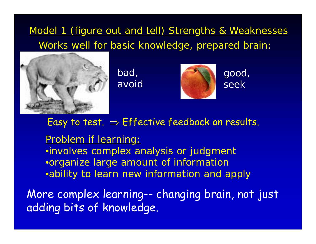# Model 1 (*figure out and tell*) Strengths & Weaknesses Works well for basic knowledge, prepared brain:



*bad, avoid*



*good, seek*

### Easy to test.  $\Rightarrow$  Effective feedback on results.

### Problem if learning:

•involves complex analysis or judgment •organize large amount of information •ability to learn new information and apply

More complex learning-- changing brain, not just adding bits of knowledge.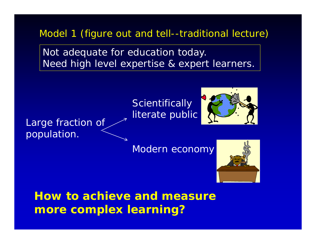Model 1 (*figure out and tell--traditional lecture*)

Not adequate for education today. Need high level expertise & expert learners.





Modern economy



**How to achieve and measure more complex learning?**

Large fraction of

population.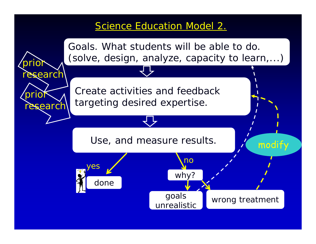### Science Education Model 2.

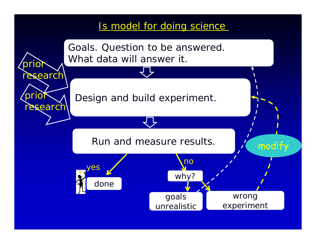### Is model for *doing* science

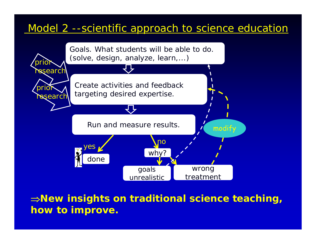## Model 2 --scientific approach to science education



<sup>⇒</sup>**New insights on traditional science teaching, how to improve.**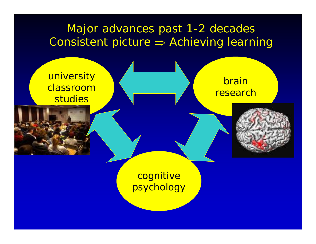# Major advances past 1-2 decades Consistent picture <sup>⇒</sup> Achieving learning

university classroomstudies

brainresearch



cognitive psychology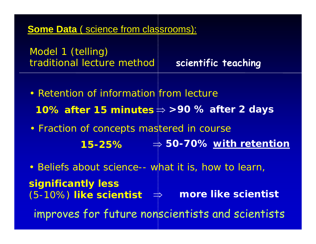### **Some Data** ( science from classrooms):

Model 1 (telling) traditional lecture method **scientific teaching**

- **10% after 15 minutes** ⇒ **>90 % after 2 days** • Retention of information from lecture
- Fraction of concepts mastered in course **15-25%**⇒ **50-70% with retention**
- Beliefs about science-- what it is, how to learn, **significantly less** (5-10%) **like scientist**  ⇒ **more like scientist** improves for future nonscientists and scientists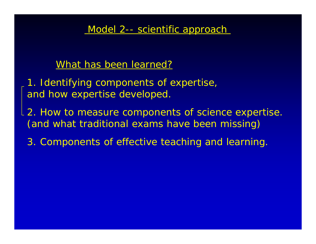Model 2-- scientific approach

### What has been learned?

- 1. Identifying components of expertise, and how expertise developed.
- L 2. How to measure components of science expertise. *(and what traditional exams have been missing)*
	- 3. Components of effective teaching and learning.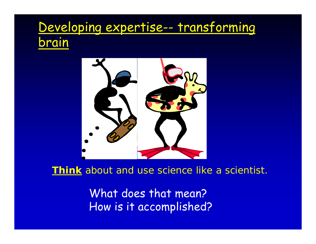# Developing expertise-- transforming brain



### **Think** about and use science like a scientist.

What does that mean? How is it accomplished?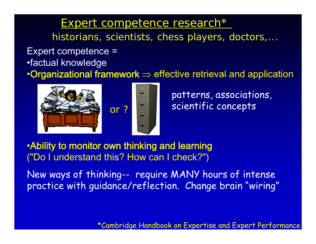Expert competence = •factual knowledge •Organizational framework <sup>⇒</sup> effective retrieval and application Expert competence research<sup>\*</sup> historians, scientists, chess players, doctors,...





•Ability to monitor own thinking and learning ("Do I understand this? How can I check?")

New ways of thinking-- require MANY hours of intense practice with guidance/reflection. Change brain "wiring"

\*Cambridge Handbook on Expertise and Expert Performance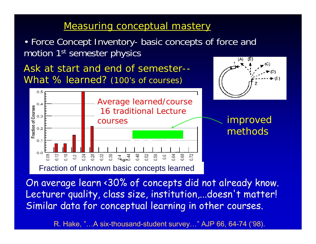### Measuring conceptual mastery

• Force Concept Inventory- basic concepts of force and motion 1st semester physics

Average learned/course

16 traditional Lecture

*Ask at start and end of semester-- What % learned? (100's of courses)*

 $0.5$ 

0.4

 $0.3$ 

 $0.2$ 

 $0.1$ 

 $0.0$ 

Fraction of Courses

courses





Fraction of unknown basic concepts learned

On average learn <30% of concepts did not already know. Lecturer quality, class size, institution,...doesn't matter! Similar data for conceptual learning in other courses.

R. Hake, "…A six-thousand-student survey…" AJP 66, 64-74 ('98).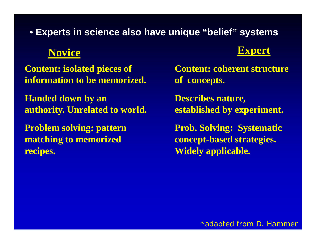• **Experts in science also have unique "belief" systems**

**Content: isolated pieces of information to be memorized.**

**Handed down by an authority. Unrelated to world.**

**Problem solving: pattern matching to memorized recipes.**

**Novice Expert**

**Content: coherent structure of concepts.**

**Describes nature, established by experiment.**

**Prob. Solving: Systematic concept-based strategies. Widely applicable.**

\*adapted from D. Hammer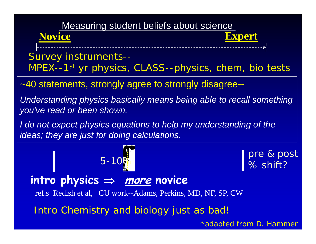### Measuring student beliefs about science

**Novice Expert**

Survey instruments-- MPEX--1<sup>st</sup> yr physics, CLASS--physics, chem, bio tests

~40 statements, strongly agree to strongly disagree--

Understanding physics basically means being able to recall something *you've read or been shown.*

*I do not expect physics equations to help my understanding of the ideas; they are just for doing calculations.*

> pre & post 5-10<mark>%</mark> shift?

# **intro physics** <sup>⇒</sup> **more novice**

ref.s Redish et al, CU work--Adams, Perkins, MD, NF, SP, CW

Intro Chemistry and biology just as bad!

\*adapted from D. Hammer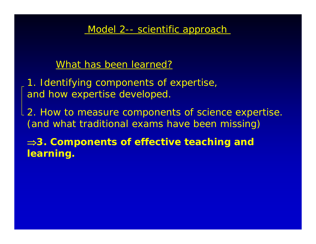Model 2-- scientific approach

### What has been learned?

1. Identifying components of expertise, and how expertise developed.

L 2. How to measure components of science expertise. *(and what traditional exams have been missing)*

<sup>⇒</sup>**3. Components of effective teaching and learning.**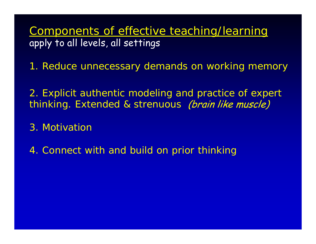Components of effective teaching/learning apply to all levels, all settings

1. Reduce unnecessary demands on working memory

2. Explicit authentic modeling and practice of expert thinking. Extended & strenuous (brain like muscle)

3. Motivation

4. Connect with and build on prior thinking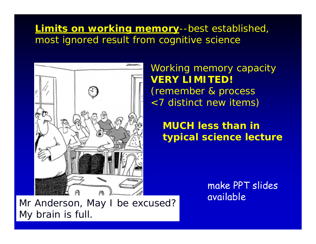### **Limits on working memory**--best established, most ignored result from cognitive science



Working memory capacity **VERY LIMITED!***(remember & process <7 distinct new items)*

### **MUCH less than in typical science lecture**

make PPT slides available

Mr Anderson, May I be excused? My brain is full.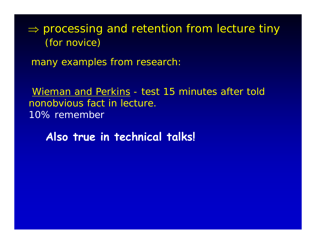# $\Rightarrow$  processing and retention from lecture tiny (for novice)

many examples from research:

Wieman and Perkins - test 15 minutes after told nonobvious fact in lecture.10% remember

**Also true in technical talks!**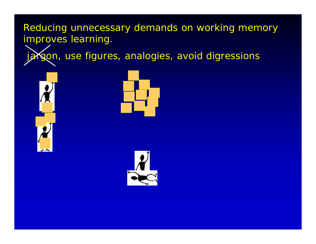Reducing unnecessary demands on working memory improves learning.

jargon, use figures, analogies, avoid digressions





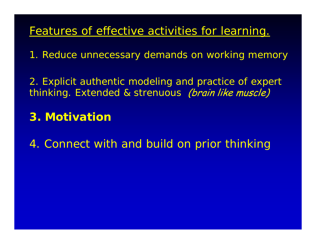# Features of effective activities for learning.

1. Reduce unnecessary demands on working memory

2. Explicit authentic modeling and practice of expert thinking. Extended & strenuous (brain like muscle)

# **3. Motivation**

4. Connect with and build on prior thinking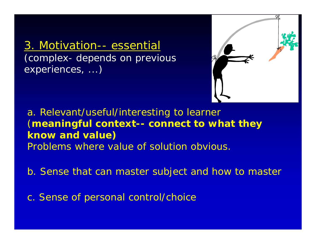3. Motivation-- essential *(complex- depends on previous experiences, ...)*



a. Relevant/useful/interesting to learner (**meaningful context-- connect to what they know and value)** *Problems where value of solution obvious.* 

b. Sense that can master subject and how to master

c. Sense of personal control/choice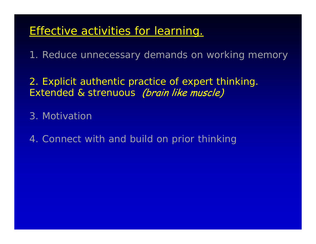# Effective activities for learning.

1. Reduce unnecessary demands on working memory

2. Explicit authentic practice of expert thinking. Extended & strenuous (brain like muscle)

3. Motivation

4. Connect with and build on prior thinking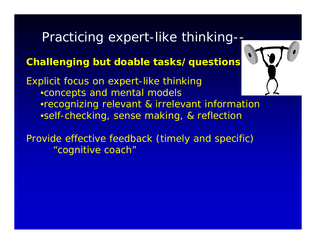# Practicing expert-like thinking-

## **Challenging but doable tasks/questions**

Explicit focus on expert-like thinking •concepts and mental models •recognizing relevant & irrelevant information •self-checking, sense making, & reflection

Provide effective feedback (timely and specific) "cognitive coach"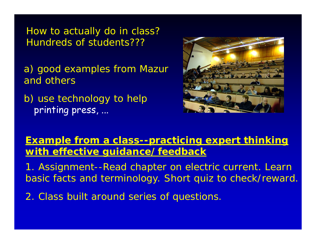How to actually do in class? Hundreds of students???

a) good examples from Mazur and others

b) use technology to help printing press, ...



### **Example from a class--practicing expert thinking with effective guidance/feedback**

1. Assignment--Read chapter on electric current. Learn basic facts and terminology. Short quiz to check/reward.

2. Class built around series of questions.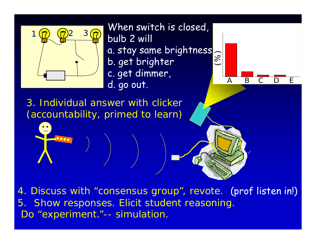

When switch is closed, bulb 2 will a. stay same brightness b. get brighter c. get dimmer, d. go out.



3. Individual answer with clicker*(accountability, primed to learn)*

4. Discuss with "consensus group", revote. (prof listen in!) 5. Show responses. Elicit student reasoning. Do "experiment."-- simulation.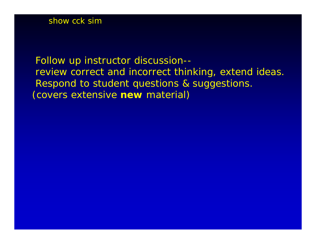show cck sim

Follow up instructor discussion- review correct and incorrect thinking, extend ideas. Respond to student questions & suggestions. *(covers extensive new material)*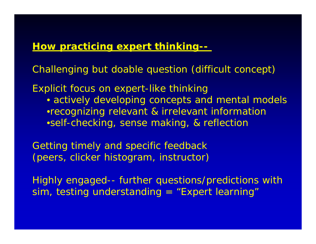### **How practicing expert thinking--**

Challenging but doable question (difficult concept)

Explicit focus on expert-like thinking

• actively developing concepts and mental models •recognizing relevant & irrelevant information •self-checking, sense making, & reflection

Getting timely and specific feedback (peers, clicker histogram, instructor)

Highly engaged-- further questions/predictions with sim, testing understanding = "Expert learning"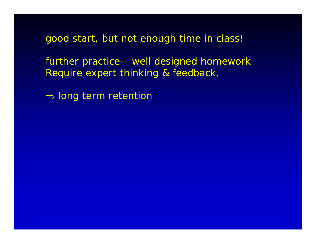good start, but not enough time in class!

further practice-- well designed homework Require expert thinking & feedback,

 $\Rightarrow$  long term retention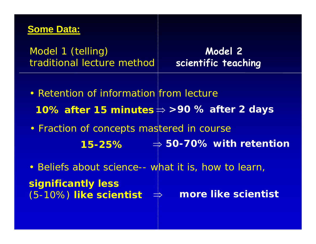### **Some Data:**

Model 1 (telling) **Model 2** traditional lecture method **scientific teaching**

- **10% after 15 minutes** ⇒ **>90 % after 2 days** • Retention of information from lecture
- Fraction of concepts mastered in course **15-25%**⇒ **50-70% with retention**
- Beliefs about science-- what it is, how to learn, **significantly less** (5-10%) **like scientist**  ⇒**more like scientist**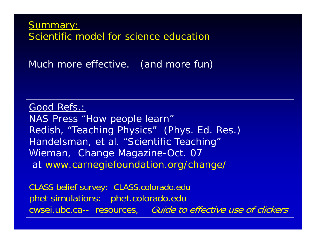Summary: Scientific model for science education

Much more effective. (and more fun)

Good Refs.: NAS Press "How people learn" Redish, "Teaching Physics" (Phys. Ed. Res.) Handelsman, et al. "Scientific Teaching" Wieman, Change Magazine-Oct. 07 at *www.carnegiefoundation.org/change/*

CLASS belief survey: CLASS.colorado.edu phet simulations: phet.colorado.edu cwsei.ubc.ca-- resources, Guide to effective use of clickers